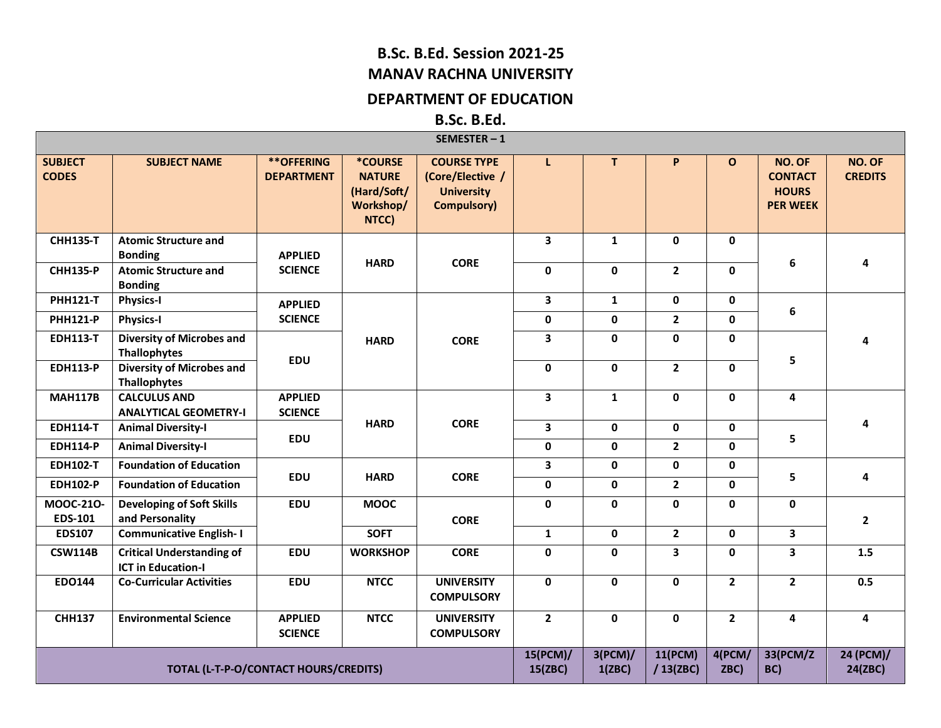## **B.Sc. B.Ed. Session 2021-25 MANAV RACHNA UNIVERSITY**

## **DEPARTMENT OF EDUCATION**

**B.Sc. B.Ed.**

|                                                                                   |                                                               |                                        |                                                                      | SEMESTER-1                                                                        |                         |              |                         |                |                                                             |                          |
|-----------------------------------------------------------------------------------|---------------------------------------------------------------|----------------------------------------|----------------------------------------------------------------------|-----------------------------------------------------------------------------------|-------------------------|--------------|-------------------------|----------------|-------------------------------------------------------------|--------------------------|
| <b>SUBJECT</b><br><b>CODES</b>                                                    | <b>SUBJECT NAME</b>                                           | <b>**OFFERING</b><br><b>DEPARTMENT</b> | <b>*COURSE</b><br><b>NATURE</b><br>(Hard/Soft/<br>Workshop/<br>NTCC) | <b>COURSE TYPE</b><br>(Core/Elective /<br><b>University</b><br><b>Compulsory)</b> | L                       | T.           | P                       | $\mathbf{o}$   | NO. OF<br><b>CONTACT</b><br><b>HOURS</b><br><b>PER WEEK</b> | NO. OF<br><b>CREDITS</b> |
| <b>CHH135-T</b>                                                                   | <b>Atomic Structure and</b><br><b>Bonding</b>                 | <b>APPLIED</b>                         | <b>HARD</b>                                                          | <b>CORE</b>                                                                       | $\overline{\mathbf{3}}$ | $\mathbf{1}$ | $\mathbf{0}$            | $\mathbf{0}$   | $\boldsymbol{6}$                                            | 4                        |
| <b>CHH135-P</b>                                                                   | <b>Atomic Structure and</b><br><b>Bonding</b>                 | <b>SCIENCE</b>                         |                                                                      |                                                                                   | $\mathbf 0$             | 0            | $\overline{2}$          | 0              |                                                             |                          |
| <b>PHH121-T</b>                                                                   | <b>Physics-I</b>                                              | <b>APPLIED</b>                         |                                                                      |                                                                                   | $\overline{\mathbf{3}}$ | $\mathbf{1}$ | $\mathbf 0$             | 0              | $\boldsymbol{6}$                                            |                          |
| <b>PHH121-P</b>                                                                   | <b>Physics-I</b>                                              | <b>SCIENCE</b>                         |                                                                      |                                                                                   | $\pmb{0}$               | $\mathbf 0$  | $2^{\circ}$             | $\mathbf{0}$   |                                                             |                          |
| <b>EDH113-T</b>                                                                   | <b>Diversity of Microbes and</b><br>Thallophytes              | <b>EDU</b>                             | <b>HARD</b>                                                          | <b>CORE</b>                                                                       | $\overline{\mathbf{3}}$ | 0            | $\mathbf 0$             | 0              | 5                                                           | 4                        |
| <b>EDH113-P</b>                                                                   | <b>Diversity of Microbes and</b><br>Thallophytes              |                                        |                                                                      |                                                                                   | $\mathbf 0$             | $\mathbf 0$  | $\mathbf{2}$            | 0              |                                                             |                          |
| <b>MAH117B</b>                                                                    | <b>CALCULUS AND</b><br><b>ANALYTICAL GEOMETRY-I</b>           | <b>APPLIED</b><br><b>SCIENCE</b>       |                                                                      |                                                                                   | 3                       | $\mathbf{1}$ | $\mathbf 0$             | 0              | $\overline{\mathbf{4}}$                                     |                          |
| <b>EDH114-T</b>                                                                   | <b>Animal Diversity-I</b>                                     |                                        | <b>HARD</b>                                                          | <b>CORE</b>                                                                       | $\overline{\mathbf{3}}$ | $\mathbf 0$  | $\mathbf 0$             | $\mathbf 0$    |                                                             | 4                        |
| <b>EDH114-P</b>                                                                   | <b>Animal Diversity-I</b>                                     | <b>EDU</b>                             |                                                                      |                                                                                   | 0                       | 0            | $2^{\circ}$             | 0              | 5                                                           |                          |
| <b>EDH102-T</b>                                                                   | <b>Foundation of Education</b>                                |                                        |                                                                      |                                                                                   | $\mathbf{3}$            | $\mathbf 0$  | $\mathbf 0$             | 0              |                                                             |                          |
| <b>EDH102-P</b>                                                                   | <b>Foundation of Education</b>                                | <b>EDU</b>                             | <b>HARD</b>                                                          | <b>CORE</b>                                                                       | $\mathbf 0$             | $\mathbf{0}$ | $2^{\circ}$             | 0              | 5                                                           | 4                        |
| MOOC-210-<br><b>EDS-101</b>                                                       | <b>Developing of Soft Skills</b><br>and Personality           | <b>EDU</b>                             | <b>MOOC</b>                                                          | <b>CORE</b>                                                                       | $\mathbf 0$             | 0            | $\mathbf 0$             | 0              | $\mathbf 0$                                                 | $\overline{2}$           |
| <b>EDS107</b>                                                                     | <b>Communicative English-I</b>                                |                                        | <b>SOFT</b>                                                          |                                                                                   | $\mathbf{1}$            | $\mathbf 0$  | $2^{\circ}$             | $\mathbf 0$    | $\overline{\mathbf{3}}$                                     |                          |
| <b>CSW114B</b>                                                                    | <b>Critical Understanding of</b><br><b>ICT in Education-I</b> | <b>EDU</b>                             | <b>WORKSHOP</b>                                                      | <b>CORE</b>                                                                       | $\mathbf 0$             | 0            | $\overline{\mathbf{3}}$ | 0              | $\overline{\mathbf{3}}$                                     | $1.5\,$                  |
| <b>EDO144</b>                                                                     | <b>Co-Curricular Activities</b>                               | <b>EDU</b>                             | <b>NTCC</b>                                                          | <b>UNIVERSITY</b><br><b>COMPULSORY</b>                                            | $\mathbf 0$             | 0            | $\mathbf 0$             | $\overline{2}$ | $\overline{2}$                                              | 0.5                      |
| <b>CHH137</b>                                                                     | <b>Environmental Science</b>                                  | <b>APPLIED</b><br><b>SCIENCE</b>       | <b>NTCC</b>                                                          | <b>UNIVERSITY</b><br><b>COMPULSORY</b>                                            | $\mathbf{2}$            | $\mathbf 0$  | $\mathbf 0$             | $2^{\circ}$    | $\overline{\mathbf{4}}$                                     | $\overline{\mathbf{4}}$  |
| 15(PCM)/<br>3(PCM)/<br>TOTAL (L-T-P-O/CONTACT HOURS/CREDITS)<br>15(ZBC)<br>1(ZBC) |                                                               |                                        |                                                                      |                                                                                   |                         |              |                         | 4(PCM/<br>ZBC) | 33(PCM/Z<br>BC)                                             | 24 (PCM)/<br>24(ZBC)     |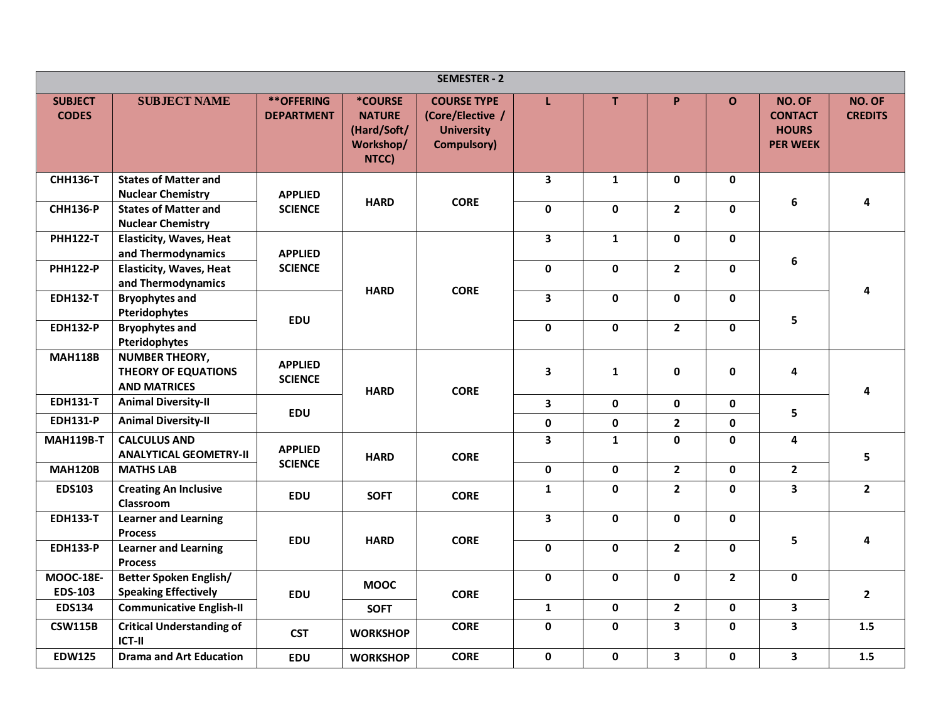|                                |                                                                     |                                        |                                                                      | <b>SEMESTER - 2</b>                                                               |                         |              |                         |              |                                                             |                          |
|--------------------------------|---------------------------------------------------------------------|----------------------------------------|----------------------------------------------------------------------|-----------------------------------------------------------------------------------|-------------------------|--------------|-------------------------|--------------|-------------------------------------------------------------|--------------------------|
| <b>SUBJECT</b><br><b>CODES</b> | <b>SUBJECT NAME</b>                                                 | <b>**OFFERING</b><br><b>DEPARTMENT</b> | <b>*COURSE</b><br><b>NATURE</b><br>(Hard/Soft/<br>Workshop/<br>NTCC) | <b>COURSE TYPE</b><br>(Core/Elective /<br><b>University</b><br><b>Compulsory)</b> | L                       | T.           | P                       | $\mathbf O$  | NO. OF<br><b>CONTACT</b><br><b>HOURS</b><br><b>PER WEEK</b> | NO. OF<br><b>CREDITS</b> |
| <b>CHH136-T</b>                | <b>States of Matter and</b>                                         |                                        |                                                                      |                                                                                   | $\mathbf{3}$            | $\mathbf{1}$ | $\mathbf 0$             | $\mathbf 0$  |                                                             |                          |
| <b>CHH136-P</b>                | <b>Nuclear Chemistry</b><br><b>States of Matter and</b>             | <b>APPLIED</b><br><b>SCIENCE</b>       | <b>HARD</b>                                                          | <b>CORE</b>                                                                       | $\pmb{0}$               | 0            | $2^{\circ}$             | $\mathbf 0$  | 6                                                           | 4                        |
|                                | <b>Nuclear Chemistry</b>                                            |                                        |                                                                      |                                                                                   |                         |              |                         |              |                                                             |                          |
| <b>PHH122-T</b>                | <b>Elasticity, Waves, Heat</b>                                      |                                        |                                                                      |                                                                                   | $\overline{\mathbf{3}}$ | $\mathbf{1}$ | $\mathbf 0$             | $\mathbf 0$  |                                                             |                          |
|                                | and Thermodynamics                                                  | <b>APPLIED</b>                         |                                                                      |                                                                                   |                         |              |                         |              | $\boldsymbol{6}$                                            |                          |
| <b>PHH122-P</b>                | <b>Elasticity, Waves, Heat</b>                                      | <b>SCIENCE</b>                         |                                                                      |                                                                                   | $\mathbf 0$             | 0            | $\overline{2}$          | $\mathbf 0$  |                                                             |                          |
| <b>EDH132-T</b>                | and Thermodynamics<br><b>Bryophytes and</b>                         |                                        | <b>HARD</b>                                                          | <b>CORE</b>                                                                       | 3                       | $\mathbf{0}$ | $\mathbf 0$             | $\mathbf{0}$ |                                                             | 4                        |
|                                | Pteridophytes                                                       |                                        |                                                                      |                                                                                   |                         |              |                         |              |                                                             |                          |
| <b>EDH132-P</b>                | <b>Bryophytes and</b>                                               | <b>EDU</b>                             |                                                                      |                                                                                   | $\mathbf 0$             | $\pmb{0}$    | $\mathbf{2}$            | $\mathbf 0$  | 5                                                           |                          |
|                                | Pteridophytes                                                       |                                        |                                                                      |                                                                                   |                         |              |                         |              |                                                             |                          |
| <b>MAH118B</b>                 | <b>NUMBER THEORY,</b><br>THEORY OF EQUATIONS<br><b>AND MATRICES</b> | <b>APPLIED</b><br><b>SCIENCE</b>       | <b>HARD</b>                                                          | <b>CORE</b>                                                                       | 3                       | $\mathbf{1}$ | $\pmb{0}$               | $\pmb{0}$    | $\overline{\mathbf{4}}$                                     | 4                        |
| <b>EDH131-T</b>                | <b>Animal Diversity-II</b>                                          |                                        |                                                                      |                                                                                   | 3                       | 0            | $\mathbf 0$             | $\mathbf 0$  |                                                             |                          |
| <b>EDH131-P</b>                | <b>Animal Diversity-II</b>                                          | <b>EDU</b>                             |                                                                      |                                                                                   | $\pmb{0}$               | $\mathbf 0$  | $\mathbf{2}$            | $\pmb{0}$    | 5                                                           |                          |
| <b>MAH119B-T</b>               | <b>CALCULUS AND</b><br><b>ANALYTICAL GEOMETRY-II</b>                | <b>APPLIED</b>                         | <b>HARD</b>                                                          | <b>CORE</b>                                                                       | 3                       | $\mathbf{1}$ | $\mathbf 0$             | $\mathbf 0$  | 4                                                           | 5                        |
| <b>MAH120B</b>                 | <b>MATHS LAB</b>                                                    | <b>SCIENCE</b>                         |                                                                      |                                                                                   | $\mathbf 0$             | $\mathbf 0$  | $\mathbf{2}$            | $\mathbf 0$  | $\overline{2}$                                              |                          |
| <b>EDS103</b>                  | <b>Creating An Inclusive</b><br>Classroom                           | <b>EDU</b>                             | <b>SOFT</b>                                                          | <b>CORE</b>                                                                       | $\mathbf{1}$            | $\mathbf 0$  | $2^{\circ}$             | $\mathbf 0$  | $\overline{\mathbf{3}}$                                     | $\overline{2}$           |
| <b>EDH133-T</b>                | <b>Learner and Learning</b><br><b>Process</b>                       |                                        |                                                                      |                                                                                   | $\overline{\mathbf{3}}$ | 0            | $\mathbf 0$             | $\mathbf 0$  | 5                                                           |                          |
| <b>EDH133-P</b>                | <b>Learner and Learning</b><br><b>Process</b>                       | <b>EDU</b>                             | <b>HARD</b>                                                          | <b>CORE</b>                                                                       | $\mathbf 0$             | 0            | $2^{\circ}$             | $\mathbf 0$  |                                                             | 4                        |
| <b>MOOC-18E-</b>               | Better Spoken English/                                              |                                        | <b>MOOC</b>                                                          |                                                                                   | $\mathbf 0$             | $\mathbf{0}$ | $\mathbf 0$             | $\mathbf{2}$ | $\mathbf 0$                                                 |                          |
| <b>EDS-103</b>                 | <b>Speaking Effectively</b>                                         | <b>EDU</b>                             |                                                                      | <b>CORE</b>                                                                       |                         |              |                         |              |                                                             | $\mathbf{2}$             |
| <b>EDS134</b>                  | <b>Communicative English-II</b>                                     |                                        | <b>SOFT</b>                                                          |                                                                                   | $\mathbf{1}$            | $\mathbf 0$  | $\overline{2}$          | $\mathbf 0$  | $\overline{\mathbf{3}}$                                     |                          |
| <b>CSW115B</b>                 | <b>Critical Understanding of</b><br>ICT-II                          | <b>CST</b>                             | <b>WORKSHOP</b>                                                      | <b>CORE</b>                                                                       | $\mathbf 0$             | 0            | $\overline{\mathbf{3}}$ | $\mathbf 0$  | $\overline{\mathbf{3}}$                                     | 1.5                      |
| <b>EDW125</b>                  | <b>Drama and Art Education</b>                                      | EDU                                    | <b>WORKSHOP</b>                                                      | <b>CORE</b>                                                                       | $\pmb{0}$               | $\mathbf 0$  | $\overline{\mathbf{3}}$ | $\mathbf 0$  | 3                                                           | $1.5\,$                  |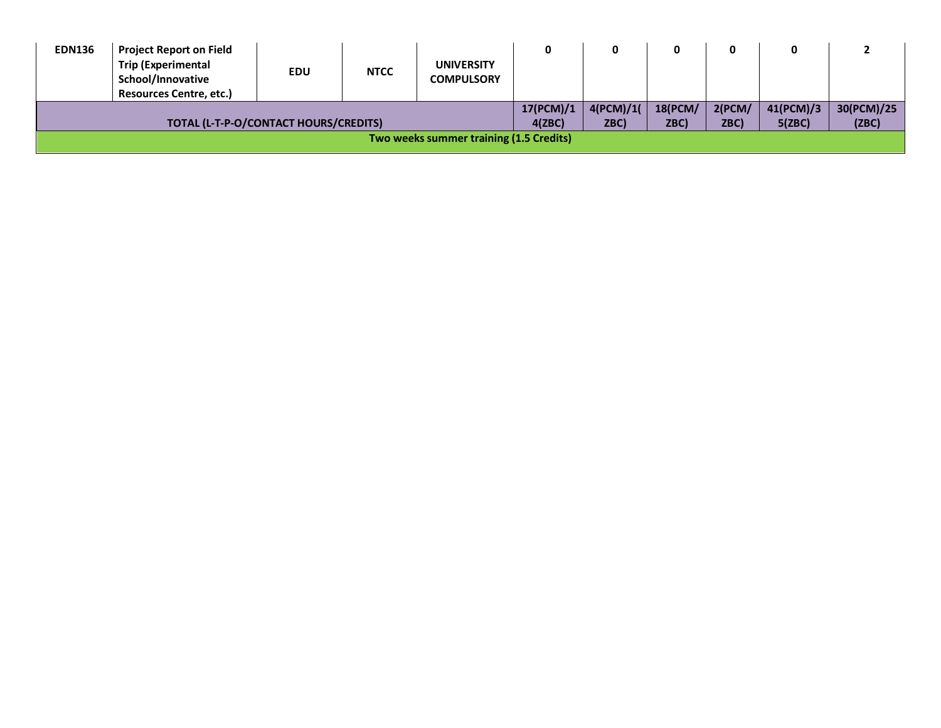| <b>EDN136</b> | <b>Project Report on Field</b><br><b>Trip (Experimental</b><br>School/Innovative<br><b>Resources Centre, etc.)</b> | <b>EDU</b> | <b>NTCC</b> | <b>UNIVERSITY</b><br><b>COMPULSORY</b>  |                     |                   | 0                      | 0              |                     |                     |
|---------------|--------------------------------------------------------------------------------------------------------------------|------------|-------------|-----------------------------------------|---------------------|-------------------|------------------------|----------------|---------------------|---------------------|
|               | TOTAL (L-T-P-O/CONTACT HOURS/CREDITS)                                                                              |            |             |                                         | 17(PCM)/1<br>4(ZBC) | 4(PCM)/1(<br>ZBC) | <b>18(PCM/</b><br>ZBC) | 2(PCM)<br>ZBC) | 41(PCM)/3<br>5(ZBC) | 30(PCM)/25<br>(ZBC) |
|               |                                                                                                                    |            |             | Two weeks summer training (1.5 Credits) |                     |                   |                        |                |                     |                     |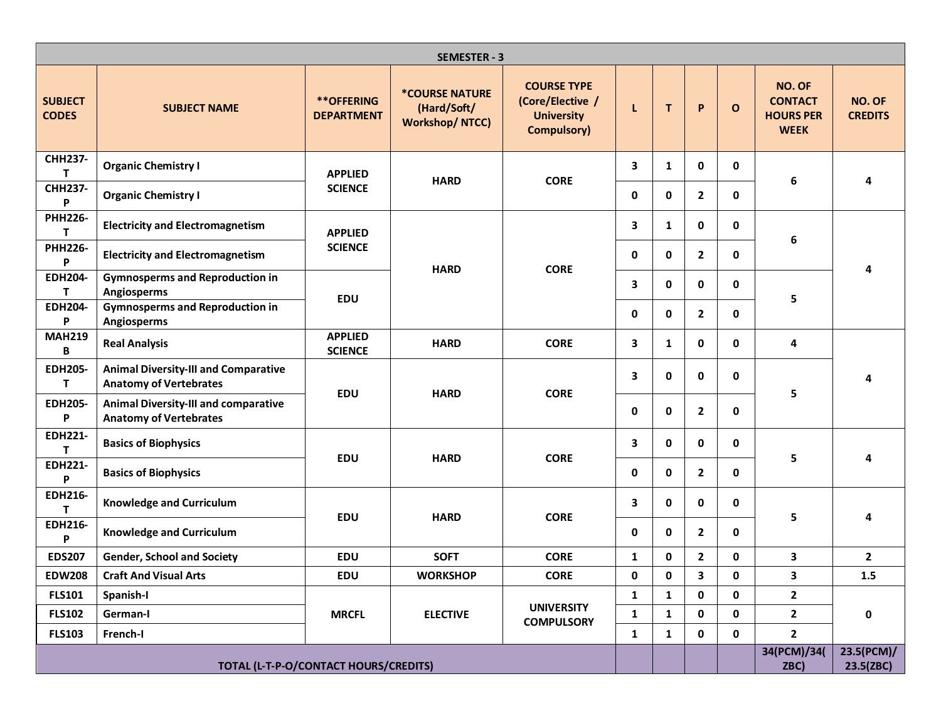|                                |                                                                              |                                        | <b>SEMESTER - 3</b>                                                  |                                                                                   |             |              |                |              |                                                                    |                          |
|--------------------------------|------------------------------------------------------------------------------|----------------------------------------|----------------------------------------------------------------------|-----------------------------------------------------------------------------------|-------------|--------------|----------------|--------------|--------------------------------------------------------------------|--------------------------|
| <b>SUBJECT</b><br><b>CODES</b> | <b>SUBJECT NAME</b>                                                          | <b>**OFFERING</b><br><b>DEPARTMENT</b> | <b><i>*COURSE NATURE</i></b><br>(Hard/Soft/<br><b>Workshop/NTCC)</b> | <b>COURSE TYPE</b><br>(Core/Elective /<br><b>University</b><br><b>Compulsory)</b> | L           | $\mathsf T$  | P              | $\mathbf{o}$ | <b>NO. OF</b><br><b>CONTACT</b><br><b>HOURS PER</b><br><b>WEEK</b> | NO. OF<br><b>CREDITS</b> |
| <b>CHH237-</b><br>T            | <b>Organic Chemistry I</b>                                                   | <b>APPLIED</b>                         |                                                                      |                                                                                   | 3           | 1            | $\mathbf 0$    | $\mathbf 0$  |                                                                    |                          |
| <b>CHH237-</b><br>P            | <b>Organic Chemistry I</b>                                                   | <b>SCIENCE</b>                         | <b>HARD</b>                                                          | <b>CORE</b>                                                                       | $\mathbf 0$ | $\mathbf 0$  | $\mathbf{2}$   | 0            | $\boldsymbol{6}$                                                   | 4                        |
| <b>PHH226-</b><br>т            | <b>Electricity and Electromagnetism</b>                                      | <b>APPLIED</b>                         |                                                                      |                                                                                   | 3           | $\mathbf{1}$ | $\mathbf 0$    | $\mathbf 0$  | $\boldsymbol{6}$                                                   |                          |
| <b>PHH226-</b><br>P            | <b>Electricity and Electromagnetism</b>                                      | <b>SCIENCE</b>                         |                                                                      |                                                                                   | $\mathbf 0$ | 0            | $\mathbf{2}$   | 0            |                                                                    |                          |
| <b>EDH204-</b><br>T            | <b>Gymnosperms and Reproduction in</b><br>Angiosperms                        |                                        | <b>HARD</b>                                                          | <b>CORE</b>                                                                       | 3           | $\mathbf 0$  | $\mathbf 0$    | $\mathbf 0$  |                                                                    |                          |
| EDH204-<br>P                   | <b>Gymnosperms and Reproduction in</b><br>Angiosperms                        | <b>EDU</b>                             |                                                                      |                                                                                   | $\mathbf 0$ | $\mathbf 0$  | $\mathbf{2}$   | $\mathbf 0$  | 5                                                                  |                          |
| <b>MAH219</b><br>B             | <b>Real Analysis</b>                                                         | <b>APPLIED</b><br><b>SCIENCE</b>       | <b>HARD</b>                                                          | <b>CORE</b>                                                                       | 3           | $\mathbf{1}$ | $\mathbf 0$    | $\mathbf 0$  | 4                                                                  |                          |
| <b>EDH205-</b><br>T            | <b>Animal Diversity-III and Comparative</b><br><b>Anatomy of Vertebrates</b> | <b>EDU</b>                             | <b>HARD</b>                                                          | <b>CORE</b>                                                                       | 3           | $\mathbf 0$  | 0              | $\mathbf 0$  | 5                                                                  | 4                        |
| <b>EDH205-</b><br>P            | <b>Animal Diversity-III and comparative</b><br><b>Anatomy of Vertebrates</b> |                                        |                                                                      |                                                                                   | $\mathbf 0$ | $\mathbf 0$  | $\mathbf{2}$   | $\mathbf 0$  |                                                                    |                          |
| <b>EDH221-</b><br>Т            | <b>Basics of Biophysics</b>                                                  |                                        |                                                                      |                                                                                   | 3           | $\mathbf 0$  | $\mathbf 0$    | 0            |                                                                    |                          |
| <b>EDH221-</b><br>P            | <b>Basics of Biophysics</b>                                                  | <b>EDU</b>                             | <b>HARD</b>                                                          | <b>CORE</b>                                                                       | $\mathbf 0$ | $\mathbf 0$  | $\overline{2}$ | $\mathbf 0$  | 5                                                                  |                          |
| <b>EDH216-</b><br>т            | <b>Knowledge and Curriculum</b>                                              |                                        |                                                                      |                                                                                   | 3           | $\mathbf 0$  | $\mathbf 0$    | 0            |                                                                    | 4                        |
| <b>EDH216-</b><br>P            | <b>Knowledge and Curriculum</b>                                              | <b>EDU</b>                             | <b>HARD</b>                                                          | <b>CORE</b>                                                                       | $\mathbf 0$ | $\mathbf 0$  | $\mathbf{2}$   | $\mathbf 0$  | 5                                                                  |                          |
| <b>EDS207</b>                  | <b>Gender, School and Society</b>                                            | <b>EDU</b>                             | <b>SOFT</b>                                                          | <b>CORE</b>                                                                       | 1           | 0            | $\mathbf{2}$   | 0            | 3                                                                  | $\mathbf{2}$             |
| <b>EDW208</b>                  | <b>Craft And Visual Arts</b>                                                 | EDU                                    | <b>WORKSHOP</b>                                                      | <b>CORE</b>                                                                       | 0           | 0            | 3              | 0            | 3                                                                  | 1.5                      |
| <b>FLS101</b>                  | Spanish-I                                                                    |                                        |                                                                      |                                                                                   | 1           | $\mathbf{1}$ | $\mathbf{0}$   | 0            | $\overline{2}$                                                     |                          |
| <b>FLS102</b>                  | German-I                                                                     | <b>MRCFL</b>                           | <b>ELECTIVE</b>                                                      | <b>UNIVERSITY</b><br><b>COMPULSORY</b>                                            | 1           | 1            | $\mathbf 0$    | $\mathbf 0$  | $\mathbf{2}$                                                       | 0                        |
| <b>FLS103</b>                  | French-I                                                                     |                                        |                                                                      |                                                                                   | 1           | $\mathbf{1}$ | $\mathbf 0$    | $\mathbf 0$  | $\mathbf{2}$                                                       |                          |
|                                |                                                                              | TOTAL (L-T-P-O/CONTACT HOURS/CREDITS)  |                                                                      |                                                                                   |             |              |                |              | 34(PCM)/34(<br>ZBC)                                                | 23.5(PCM)/<br>23.5(ZBC)  |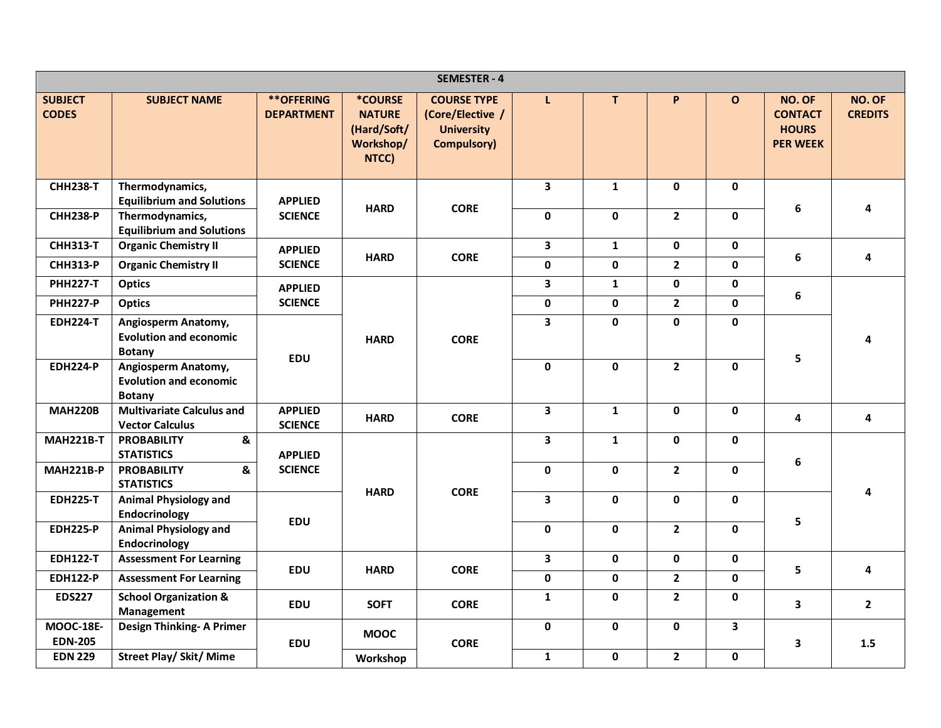|                                    |                                                                       |                                        |                                                                      | <b>SEMESTER - 4</b>                                                               |                         |              |                |              |                                                             |                          |
|------------------------------------|-----------------------------------------------------------------------|----------------------------------------|----------------------------------------------------------------------|-----------------------------------------------------------------------------------|-------------------------|--------------|----------------|--------------|-------------------------------------------------------------|--------------------------|
| <b>SUBJECT</b><br><b>CODES</b>     | <b>SUBJECT NAME</b>                                                   | <b>**OFFERING</b><br><b>DEPARTMENT</b> | <b>*COURSE</b><br><b>NATURE</b><br>(Hard/Soft/<br>Workshop/<br>NTCC) | <b>COURSE TYPE</b><br>(Core/Elective /<br><b>University</b><br><b>Compulsory)</b> | L                       | T            | P              | $\mathbf{o}$ | NO. OF<br><b>CONTACT</b><br><b>HOURS</b><br><b>PER WEEK</b> | NO. OF<br><b>CREDITS</b> |
| <b>CHH238-T</b>                    | Thermodynamics,<br><b>Equilibrium and Solutions</b>                   | <b>APPLIED</b>                         | <b>HARD</b>                                                          | <b>CORE</b>                                                                       | $\mathbf{3}$            | $\mathbf{1}$ | 0              | $\mathbf 0$  | 6                                                           | 4                        |
| <b>CHH238-P</b>                    | Thermodynamics,<br><b>Equilibrium and Solutions</b>                   | <b>SCIENCE</b>                         |                                                                      |                                                                                   | 0                       | $\mathbf 0$  | $2^{\circ}$    | $\mathbf 0$  |                                                             |                          |
| <b>CHH313-T</b>                    | <b>Organic Chemistry II</b>                                           | <b>APPLIED</b>                         | <b>HARD</b>                                                          | <b>CORE</b>                                                                       | $\overline{\mathbf{3}}$ | $\mathbf{1}$ | 0              | $\mathbf 0$  | 6                                                           | 4                        |
| <b>CHH313-P</b>                    | <b>Organic Chemistry II</b>                                           | <b>SCIENCE</b>                         |                                                                      |                                                                                   | 0                       | $\mathbf{0}$ | $2^{\circ}$    | $\mathbf{0}$ |                                                             |                          |
| <b>PHH227-T</b>                    | <b>Optics</b>                                                         | <b>APPLIED</b>                         |                                                                      |                                                                                   | $\overline{\mathbf{3}}$ | $\mathbf{1}$ | $\mathbf 0$    | $\mathbf 0$  |                                                             |                          |
| <b>PHH227-P</b>                    | <b>Optics</b>                                                         | <b>SCIENCE</b>                         |                                                                      |                                                                                   | 0                       | $\mathbf{0}$ | $2^{\circ}$    | $\mathbf 0$  | $\bf 6$                                                     |                          |
| <b>EDH224-T</b>                    | Angiosperm Anatomy,<br><b>Evolution and economic</b><br><b>Botany</b> |                                        | <b>HARD</b>                                                          | <b>CORE</b>                                                                       | 3                       | 0            | $\mathbf{0}$   | $\mathbf 0$  |                                                             | 4                        |
| <b>EDH224-P</b>                    | Angiosperm Anatomy,<br><b>Evolution and economic</b><br><b>Botany</b> | <b>EDU</b>                             |                                                                      |                                                                                   | $\mathbf 0$             | $\mathbf 0$  | $\overline{2}$ | $\mathbf 0$  | 5                                                           |                          |
| <b>MAH220B</b>                     | <b>Multivariate Calculus and</b><br><b>Vector Calculus</b>            | <b>APPLIED</b><br><b>SCIENCE</b>       | <b>HARD</b>                                                          | <b>CORE</b>                                                                       | $\mathbf{3}$            | $\mathbf{1}$ | 0              | $\mathbf 0$  | 4                                                           | 4                        |
| <b>MAH221B-T</b>                   | <b>PROBABILITY</b><br>&<br><b>STATISTICS</b>                          | <b>APPLIED</b>                         |                                                                      |                                                                                   | $\mathbf{3}$            | $\mathbf{1}$ | 0              | $\mathbf 0$  |                                                             |                          |
| <b>MAH221B-P</b>                   | &<br><b>PROBABILITY</b><br><b>STATISTICS</b>                          | <b>SCIENCE</b>                         |                                                                      | <b>CORE</b>                                                                       | $\mathbf 0$             | $\mathbf 0$  | $\overline{2}$ | $\mathbf 0$  | 6                                                           |                          |
| <b>EDH225-T</b>                    | <b>Animal Physiology and</b><br>Endocrinology                         |                                        | <b>HARD</b>                                                          |                                                                                   | $\overline{\mathbf{3}}$ | $\mathbf{0}$ | $\mathbf{0}$   | $\mathbf 0$  |                                                             | 4                        |
| <b>EDH225-P</b>                    | <b>Animal Physiology and</b><br>Endocrinology                         | <b>EDU</b>                             |                                                                      |                                                                                   | 0                       | 0            | $2^{\circ}$    | $\mathbf 0$  | 5                                                           |                          |
| <b>EDH122-T</b>                    | <b>Assessment For Learning</b>                                        |                                        |                                                                      |                                                                                   | $\mathbf{3}$            | $\mathbf 0$  | $\mathbf 0$    | $\mathbf 0$  |                                                             |                          |
| <b>EDH122-P</b>                    | <b>Assessment For Learning</b>                                        | <b>EDU</b>                             | <b>HARD</b>                                                          | <b>CORE</b>                                                                       | $\mathbf 0$             | $\mathbf 0$  | $\mathbf{2}$   | $\mathbf 0$  | 5                                                           | 4                        |
| <b>EDS227</b>                      | <b>School Organization &amp;</b><br>Management                        | <b>EDU</b>                             | <b>SOFT</b>                                                          | <b>CORE</b>                                                                       | $\mathbf{1}$            | 0            | $2^{\circ}$    | $\mathbf 0$  | 3                                                           | $\overline{2}$           |
| <b>MOOC-18E-</b><br><b>EDN-205</b> | <b>Design Thinking- A Primer</b>                                      | <b>EDU</b>                             | <b>MOOC</b>                                                          | <b>CORE</b>                                                                       | 0                       | $\mathbf 0$  | $\mathbf 0$    | $\mathbf{3}$ | 3                                                           | 1.5                      |
| <b>EDN 229</b>                     | <b>Street Play/ Skit/ Mime</b>                                        |                                        | Workshop                                                             |                                                                                   | $\mathbf{1}$            | $\mathbf 0$  | $\mathbf{2}$   | 0            |                                                             |                          |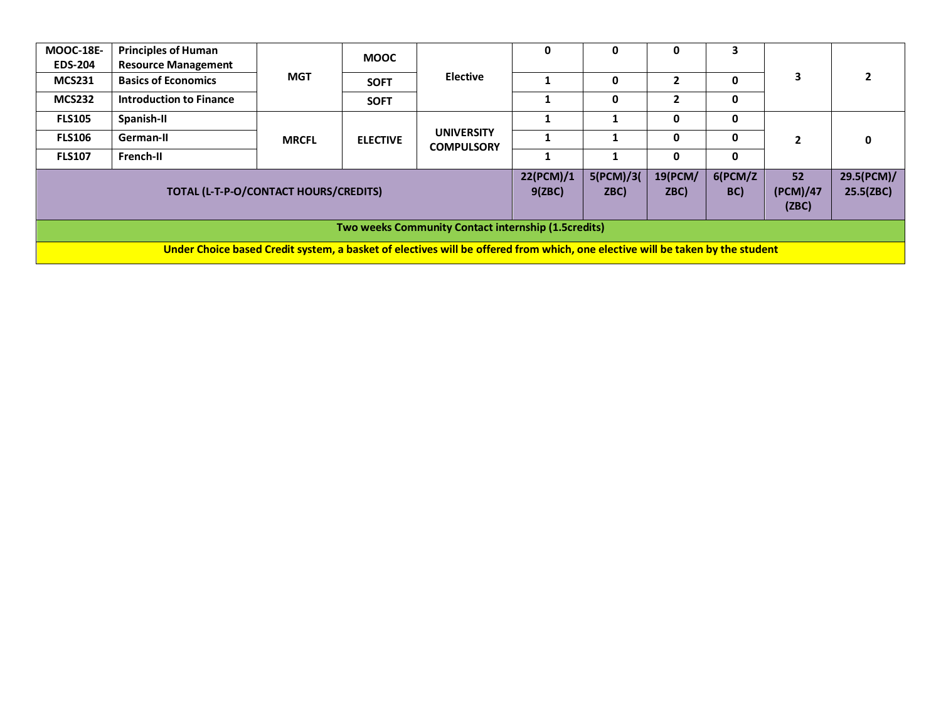| <b>MOOC-18E-</b> | <b>Principles of Human</b>            |              | <b>MOOC</b>     |                                                                                                                               | 0         |           | 0            | 3       |                |            |
|------------------|---------------------------------------|--------------|-----------------|-------------------------------------------------------------------------------------------------------------------------------|-----------|-----------|--------------|---------|----------------|------------|
| <b>EDS-204</b>   | <b>Resource Management</b>            |              |                 |                                                                                                                               |           |           |              |         |                |            |
| <b>MCS231</b>    | <b>Basics of Economics</b>            | <b>MGT</b>   | <b>SOFT</b>     | <b>Elective</b>                                                                                                               |           |           |              | 0       | 3              | 2          |
| <b>MCS232</b>    | <b>Introduction to Finance</b>        |              | <b>SOFT</b>     |                                                                                                                               |           | 0         | $\mathbf{2}$ | 0       |                |            |
| <b>FLS105</b>    | Spanish-II                            |              |                 |                                                                                                                               |           |           | 0            | 0       |                |            |
| <b>FLS106</b>    | German-II                             | <b>MRCFL</b> | <b>ELECTIVE</b> | <b>UNIVERSITY</b><br><b>COMPULSORY</b>                                                                                        |           |           | 0            | 0       | $\overline{2}$ | 0          |
| <b>FLS107</b>    | French-II                             |              |                 |                                                                                                                               |           |           | 0            | 0       |                |            |
|                  |                                       |              |                 |                                                                                                                               | 22(PCM)/1 | 5(PCM)/3( | 19(PCM/      | 6(PCM/Z | 52             | 29.5(PCM)/ |
|                  | TOTAL (L-T-P-O/CONTACT HOURS/CREDITS) |              |                 |                                                                                                                               | 9(ZBC)    | ZBC)      | ZBC)         | BC)     | (PCM)/47       | 25.5(ZBC)  |
|                  |                                       |              |                 |                                                                                                                               |           |           |              |         | (ZBC)          |            |
|                  |                                       |              |                 | Two weeks Community Contact internship (1.5credits)                                                                           |           |           |              |         |                |            |
|                  |                                       |              |                 | Under Choice based Credit system, a basket of electives will be offered from which, one elective will be taken by the student |           |           |              |         |                |            |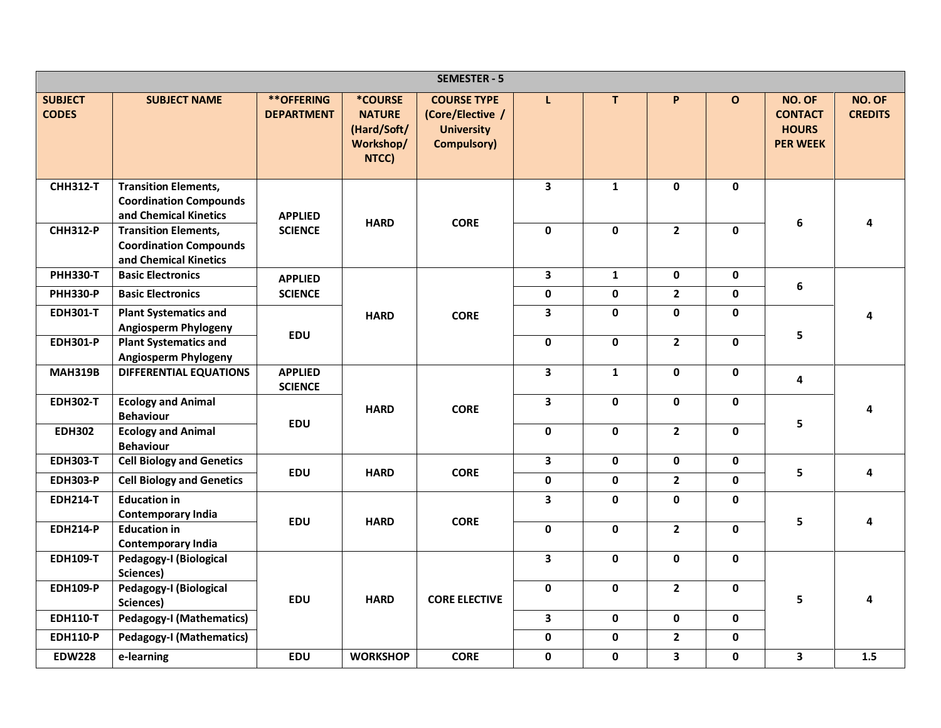|                                |                                                                                       |                                        |                                                                      | <b>SEMESTER - 5</b>                                                               |                         |              |                         |              |                                                             |                          |
|--------------------------------|---------------------------------------------------------------------------------------|----------------------------------------|----------------------------------------------------------------------|-----------------------------------------------------------------------------------|-------------------------|--------------|-------------------------|--------------|-------------------------------------------------------------|--------------------------|
| <b>SUBJECT</b><br><b>CODES</b> | <b>SUBJECT NAME</b>                                                                   | <b>**OFFERING</b><br><b>DEPARTMENT</b> | <b>*COURSE</b><br><b>NATURE</b><br>(Hard/Soft/<br>Workshop/<br>NTCC) | <b>COURSE TYPE</b><br>(Core/Elective /<br><b>University</b><br><b>Compulsory)</b> | L                       | T            | P                       | $\mathbf{o}$ | NO. OF<br><b>CONTACT</b><br><b>HOURS</b><br><b>PER WEEK</b> | NO. OF<br><b>CREDITS</b> |
| <b>CHH312-T</b>                | <b>Transition Elements,</b><br><b>Coordination Compounds</b><br>and Chemical Kinetics | <b>APPLIED</b>                         | <b>HARD</b>                                                          | <b>CORE</b>                                                                       | $\overline{\mathbf{3}}$ | $\mathbf{1}$ | 0                       | $\mathbf 0$  | $\boldsymbol{6}$                                            | 4                        |
| <b>CHH312-P</b>                | <b>Transition Elements,</b><br><b>Coordination Compounds</b><br>and Chemical Kinetics | <b>SCIENCE</b>                         |                                                                      |                                                                                   | $\mathbf 0$             | $\mathbf 0$  | $\overline{2}$          | $\mathbf 0$  |                                                             |                          |
| <b>PHH330-T</b>                | <b>Basic Electronics</b>                                                              | <b>APPLIED</b>                         |                                                                      |                                                                                   | 3                       | $\mathbf{1}$ | 0                       | 0            | 6                                                           |                          |
| <b>PHH330-P</b>                | <b>Basic Electronics</b>                                                              | <b>SCIENCE</b>                         |                                                                      |                                                                                   | $\mathbf 0$             | 0            | $\overline{2}$          | 0            |                                                             |                          |
| <b>EDH301-T</b>                | <b>Plant Systematics and</b><br><b>Angiosperm Phylogeny</b>                           | <b>EDU</b>                             | <b>HARD</b>                                                          | <b>CORE</b>                                                                       | $\overline{\mathbf{3}}$ | 0            | 0                       | 0            | 5                                                           | 4                        |
| <b>EDH301-P</b>                | <b>Plant Systematics and</b><br><b>Angiosperm Phylogeny</b>                           |                                        |                                                                      |                                                                                   | $\mathbf 0$             | $\mathbf 0$  | $\overline{2}$          | 0            |                                                             |                          |
| <b>MAH319B</b>                 | <b>DIFFERENTIAL EQUATIONS</b>                                                         | <b>APPLIED</b><br><b>SCIENCE</b>       |                                                                      |                                                                                   | $\overline{\mathbf{3}}$ | $\mathbf{1}$ | 0                       | 0            | 4                                                           |                          |
| <b>EDH302-T</b>                | <b>Ecology and Animal</b><br><b>Behaviour</b>                                         | <b>EDU</b>                             | <b>HARD</b>                                                          | <b>CORE</b>                                                                       | 3                       | $\mathbf{0}$ | $\mathbf{0}$            | 0            | 5                                                           | 4                        |
| <b>EDH302</b>                  | <b>Ecology and Animal</b><br><b>Behaviour</b>                                         |                                        |                                                                      |                                                                                   | $\mathbf 0$             | $\mathbf 0$  | $2^{\circ}$             | 0            |                                                             |                          |
| <b>EDH303-T</b>                | <b>Cell Biology and Genetics</b>                                                      | <b>EDU</b>                             |                                                                      | <b>CORE</b>                                                                       | $\overline{\mathbf{3}}$ | $\mathbf 0$  | $\mathbf 0$             | 0            |                                                             |                          |
| <b>EDH303-P</b>                | <b>Cell Biology and Genetics</b>                                                      |                                        | <b>HARD</b>                                                          |                                                                                   | $\mathbf 0$             | 0            | $2^{\circ}$             | 0            | 5                                                           | 4                        |
| <b>EDH214-T</b>                | <b>Education in</b><br><b>Contemporary India</b>                                      | <b>EDU</b>                             |                                                                      | <b>CORE</b>                                                                       | $\overline{\mathbf{3}}$ | 0            | $\mathbf{0}$            | 0            |                                                             |                          |
| <b>EDH214-P</b>                | <b>Education in</b><br><b>Contemporary India</b>                                      |                                        | <b>HARD</b>                                                          |                                                                                   | 0                       | $\mathbf 0$  | $\overline{2}$          | 0            | 5                                                           | 4                        |
| <b>EDH109-T</b>                | Pedagogy-I (Biological<br>Sciences)                                                   |                                        |                                                                      |                                                                                   | $\overline{\mathbf{3}}$ | $\mathbf 0$  | 0                       | $\mathbf 0$  |                                                             |                          |
| <b>EDH109-P</b>                | Pedagogy-I (Biological<br>Sciences)                                                   | <b>EDU</b>                             | <b>HARD</b>                                                          | <b>CORE ELECTIVE</b>                                                              | $\mathbf 0$             | 0            | 2 <sup>1</sup>          | 0            | 5                                                           | 4                        |
| <b>EDH110-T</b>                | <b>Pedagogy-I (Mathematics)</b>                                                       |                                        |                                                                      |                                                                                   | $\overline{\mathbf{3}}$ | $\mathbf 0$  | $\mathbf 0$             | $\mathbf 0$  |                                                             |                          |
| <b>EDH110-P</b>                | <b>Pedagogy-I (Mathematics)</b>                                                       |                                        |                                                                      |                                                                                   | $\mathbf 0$             | 0            | $\mathbf{2}$            | 0            |                                                             |                          |
| <b>EDW228</b>                  | e-learning                                                                            | <b>EDU</b>                             | <b>WORKSHOP</b>                                                      | <b>CORE</b>                                                                       | $\mathbf 0$             | 0            | $\overline{\mathbf{3}}$ | 0            | $\overline{\mathbf{3}}$                                     | 1.5                      |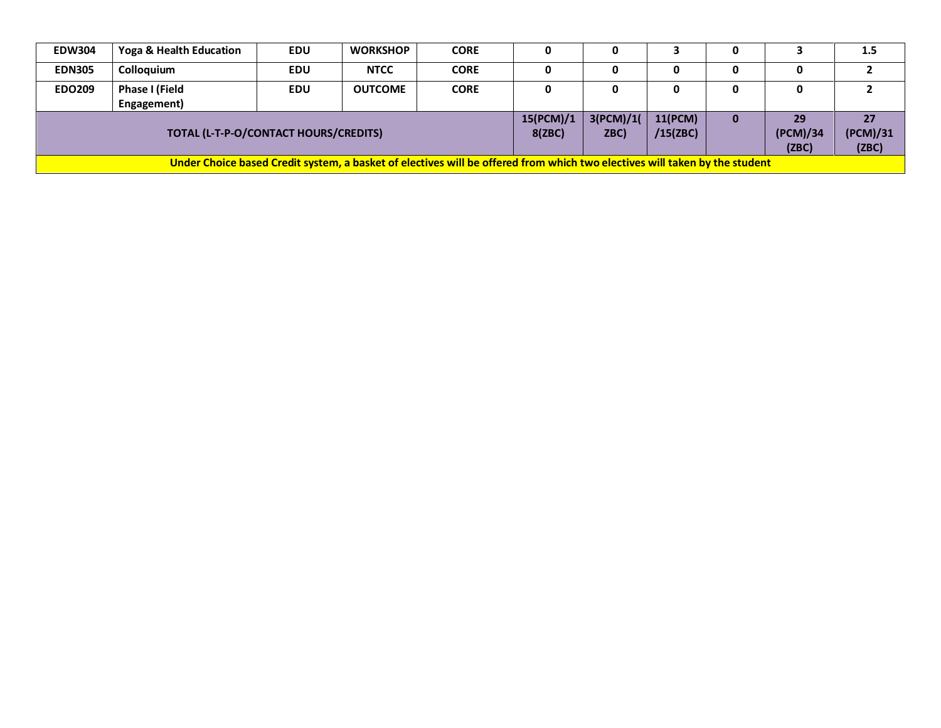| <b>EDW304</b> | Yoga & Health Education                                                                                                    | <b>EDU</b> | <b>WORKSHOP</b> | <b>CORE</b> |                     |                   |                     | 0 |                         | 1.5                     |
|---------------|----------------------------------------------------------------------------------------------------------------------------|------------|-----------------|-------------|---------------------|-------------------|---------------------|---|-------------------------|-------------------------|
| <b>EDN305</b> | Colloquium                                                                                                                 | <b>EDU</b> | <b>NTCC</b>     | <b>CORE</b> |                     |                   | 0                   | 0 | 0                       |                         |
| <b>EDO209</b> | Phase I (Field<br>Engagement)                                                                                              | <b>EDU</b> | <b>OUTCOME</b>  | <b>CORE</b> |                     |                   | 0                   | 0 | 0                       |                         |
|               | TOTAL (L-T-P-O/CONTACT HOURS/CREDITS)                                                                                      |            |                 |             | 15(PCM)/1<br>8(ZBC) | 3(PCM)/1(<br>ZBC) | 11(PCM)<br>/15(ZBC) | 0 | 29<br>(PCM)/34<br>(ZBC) | 27<br>(PCM)/31<br>(ZBC) |
|               | Under Choice based Credit system, a basket of electives will be offered from which two electives will taken by the student |            |                 |             |                     |                   |                     |   |                         |                         |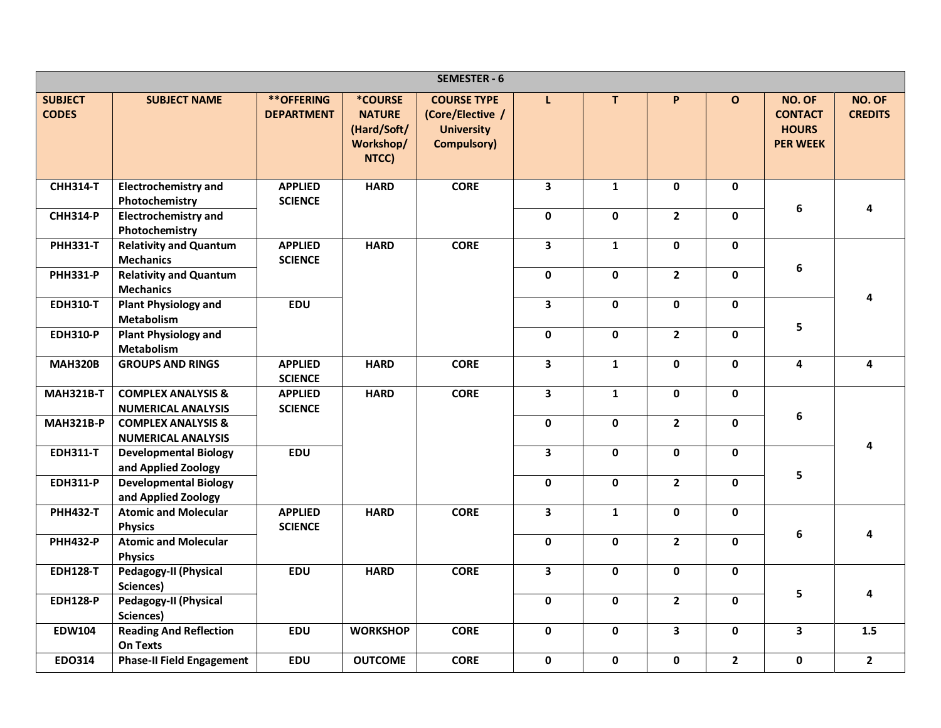|                                |                                                            |                                        |                                                                      | <b>SEMESTER - 6</b>                                                               |                         |              |                         |              |                                                             |                          |
|--------------------------------|------------------------------------------------------------|----------------------------------------|----------------------------------------------------------------------|-----------------------------------------------------------------------------------|-------------------------|--------------|-------------------------|--------------|-------------------------------------------------------------|--------------------------|
| <b>SUBJECT</b><br><b>CODES</b> | <b>SUBJECT NAME</b>                                        | <b>**OFFERING</b><br><b>DEPARTMENT</b> | <b>*COURSE</b><br><b>NATURE</b><br>(Hard/Soft/<br>Workshop/<br>NTCC) | <b>COURSE TYPE</b><br>(Core/Elective /<br><b>University</b><br><b>Compulsory)</b> | L                       | T            | P                       | $\mathbf{o}$ | NO. OF<br><b>CONTACT</b><br><b>HOURS</b><br><b>PER WEEK</b> | NO. OF<br><b>CREDITS</b> |
| <b>CHH314-T</b>                | <b>Electrochemistry and</b><br>Photochemistry              | <b>APPLIED</b><br><b>SCIENCE</b>       | <b>HARD</b>                                                          | <b>CORE</b>                                                                       | 3                       | $\mathbf{1}$ | 0                       | $\mathbf 0$  |                                                             |                          |
| <b>CHH314-P</b>                | <b>Electrochemistry and</b><br>Photochemistry              |                                        |                                                                      |                                                                                   | $\mathbf 0$             | $\mathbf 0$  | $\overline{2}$          | $\mathbf 0$  | 6                                                           | 4                        |
| <b>PHH331-T</b>                | <b>Relativity and Quantum</b><br><b>Mechanics</b>          | <b>APPLIED</b><br><b>SCIENCE</b>       | <b>HARD</b>                                                          | <b>CORE</b>                                                                       | $\overline{\mathbf{3}}$ | $\mathbf{1}$ | $\mathbf 0$             | $\mathbf 0$  |                                                             |                          |
| <b>PHH331-P</b>                | <b>Relativity and Quantum</b><br><b>Mechanics</b>          |                                        |                                                                      |                                                                                   | 0                       | $\mathbf 0$  | $\overline{2}$          | $\mathbf 0$  | 6                                                           |                          |
| <b>EDH310-T</b>                | <b>Plant Physiology and</b><br>Metabolism                  | <b>EDU</b>                             |                                                                      |                                                                                   | 3                       | 0            | 0                       | $\mathbf 0$  |                                                             | 4                        |
| <b>EDH310-P</b>                | <b>Plant Physiology and</b><br>Metabolism                  |                                        |                                                                      |                                                                                   | 0                       | $\mathbf 0$  | $2^{\circ}$             | $\mathbf 0$  | 5                                                           |                          |
| <b>MAH320B</b>                 | <b>GROUPS AND RINGS</b>                                    | <b>APPLIED</b><br><b>SCIENCE</b>       | <b>HARD</b>                                                          | <b>CORE</b>                                                                       | $\overline{\mathbf{3}}$ | $\mathbf{1}$ | 0                       | $\mathbf 0$  | 4                                                           | 4                        |
| <b>MAH321B-T</b>               | <b>COMPLEX ANALYSIS &amp;</b><br><b>NUMERICAL ANALYSIS</b> | <b>APPLIED</b><br><b>SCIENCE</b>       | <b>HARD</b>                                                          | <b>CORE</b>                                                                       | $\overline{\mathbf{3}}$ | $\mathbf{1}$ | 0                       | $\mathbf 0$  | 6                                                           |                          |
| <b>MAH321B-P</b>               | <b>COMPLEX ANALYSIS &amp;</b><br><b>NUMERICAL ANALYSIS</b> |                                        |                                                                      |                                                                                   | $\mathbf 0$             | $\mathbf 0$  | $\overline{2}$          | $\mathbf 0$  |                                                             | 4                        |
| <b>EDH311-T</b>                | <b>Developmental Biology</b><br>and Applied Zoology        | <b>EDU</b>                             |                                                                      |                                                                                   | $\overline{\mathbf{3}}$ | $\mathbf{0}$ | $\mathbf{0}$            | $\mathbf 0$  | 5                                                           |                          |
| <b>EDH311-P</b>                | <b>Developmental Biology</b><br>and Applied Zoology        |                                        |                                                                      |                                                                                   | $\pmb{0}$               | $\mathbf 0$  | $2^{\circ}$             | $\mathbf 0$  |                                                             |                          |
| <b>PHH432-T</b>                | <b>Atomic and Molecular</b><br><b>Physics</b>              | <b>APPLIED</b><br><b>SCIENCE</b>       | <b>HARD</b>                                                          | <b>CORE</b>                                                                       | $\overline{\mathbf{3}}$ | $\mathbf{1}$ | 0                       | $\mathbf 0$  | 6                                                           | 4                        |
| <b>PHH432-P</b>                | <b>Atomic and Molecular</b><br><b>Physics</b>              |                                        |                                                                      |                                                                                   | $\mathbf 0$             | $\mathbf{0}$ | $\overline{2}$          | $\mathbf 0$  |                                                             |                          |
| <b>EDH128-T</b>                | Pedagogy-II (Physical<br>Sciences)                         | <b>EDU</b>                             | <b>HARD</b>                                                          | <b>CORE</b>                                                                       | 3                       | $\mathbf 0$  | 0                       | $\mathbf 0$  |                                                             |                          |
| <b>EDH128-P</b>                | Pedagogy-II (Physical<br>Sciences)                         |                                        |                                                                      |                                                                                   | $\mathbf 0$             | 0            | $2^{\circ}$             | $\mathbf 0$  | 5                                                           | 4                        |
| <b>EDW104</b>                  | <b>Reading And Reflection</b><br><b>On Texts</b>           | <b>EDU</b>                             | <b>WORKSHOP</b>                                                      | <b>CORE</b>                                                                       | $\mathbf 0$             | 0            | $\overline{\mathbf{3}}$ | $\mathbf 0$  | $\overline{\mathbf{3}}$                                     | 1.5                      |
| <b>EDO314</b>                  | <b>Phase-II Field Engagement</b>                           | <b>EDU</b>                             | <b>OUTCOME</b>                                                       | <b>CORE</b>                                                                       | $\mathbf 0$             | 0            | 0                       | $\mathbf{2}$ | $\mathbf 0$                                                 | $\mathbf{2}$             |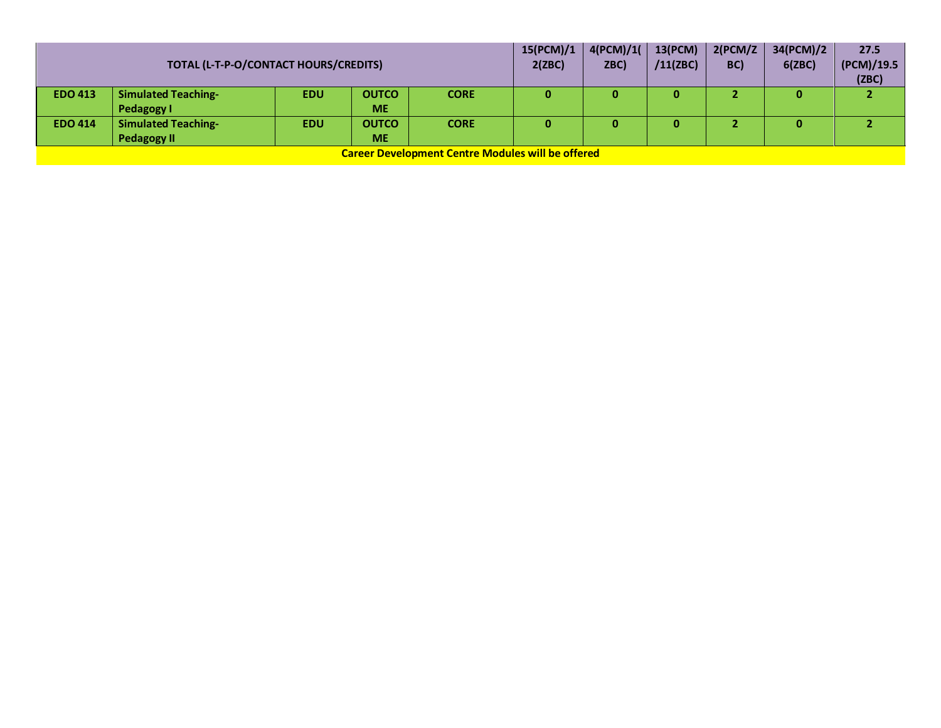|                | TOTAL (L-T-P-O/CONTACT HOURS/CREDITS)            |            |                           |                                                          |   |   | 13(PCM)<br>/11(ZBC) | 2(PCM/Z)<br>BC) | 34(PCM)/2<br>6(ZBC) | 27.5<br>(PCM)/19.5<br>(ZBC) |
|----------------|--------------------------------------------------|------------|---------------------------|----------------------------------------------------------|---|---|---------------------|-----------------|---------------------|-----------------------------|
| <b>EDO 413</b> | <b>Simulated Teaching-</b><br>Pedagogy I         | <b>EDU</b> | <b>OUTCO</b><br><b>ME</b> | <b>CORE</b>                                              | 0 | 0 | 0                   |                 | 0                   |                             |
| <b>EDO 414</b> | <b>Simulated Teaching-</b><br><b>Pedagogy II</b> | <b>EDU</b> | <b>OUTCO</b><br><b>ME</b> | <b>CORE</b>                                              | 0 | 0 | 0                   |                 | 0                   |                             |
|                |                                                  |            |                           | <b>Career Development Centre Modules will be offered</b> |   |   |                     |                 |                     |                             |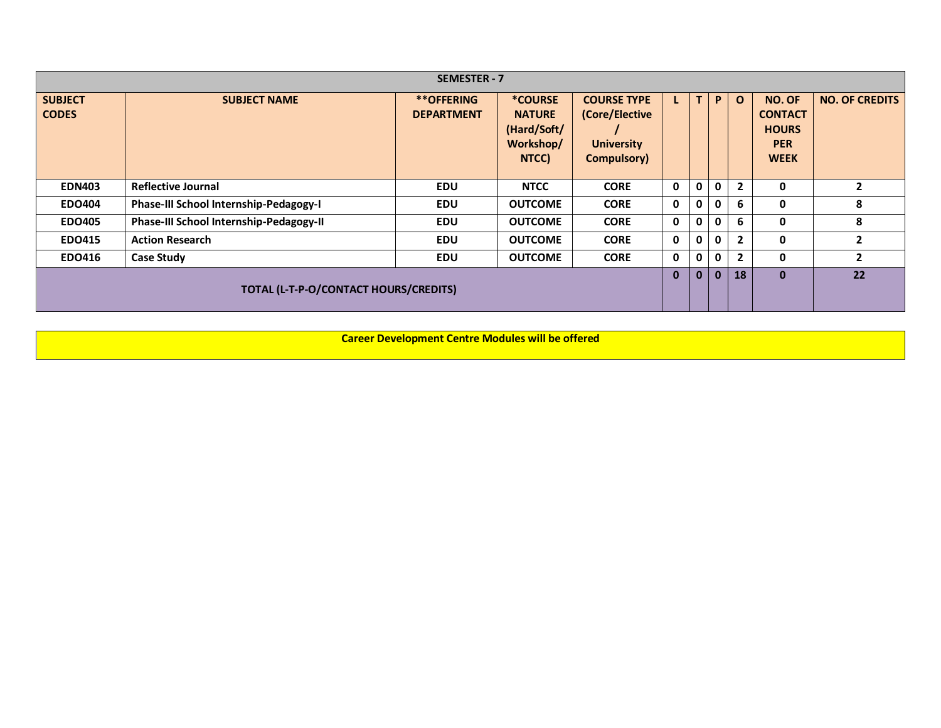|                                |                                         | <b>SEMESTER - 7</b>                    |                                                               |                                                                          |              |             |              |                |                                                                       |                       |
|--------------------------------|-----------------------------------------|----------------------------------------|---------------------------------------------------------------|--------------------------------------------------------------------------|--------------|-------------|--------------|----------------|-----------------------------------------------------------------------|-----------------------|
| <b>SUBJECT</b><br><b>CODES</b> | <b>SUBJECT NAME</b>                     | <b>**OFFERING</b><br><b>DEPARTMENT</b> | *COURSE<br><b>NATURE</b><br>(Hard/Soft/<br>Workshop/<br>NTCC) | <b>COURSE TYPE</b><br>(Core/Elective<br><b>University</b><br>Compulsory) |              | T           | P.           | $\mathbf{o}$   | NO. OF<br><b>CONTACT</b><br><b>HOURS</b><br><b>PER</b><br><b>WEEK</b> | <b>NO. OF CREDITS</b> |
| <b>EDN403</b>                  | <b>Reflective Journal</b>               | <b>EDU</b>                             | <b>NTCC</b>                                                   | <b>CORE</b>                                                              | $\mathbf 0$  | $\mathbf 0$ | 0            | $\overline{2}$ | 0                                                                     | $\overline{2}$        |
| <b>EDO404</b>                  | Phase-III School Internship-Pedagogy-I  | <b>EDU</b>                             | <b>OUTCOME</b>                                                | <b>CORE</b>                                                              | $\mathbf 0$  | $\mathbf 0$ | $\mathbf{0}$ | 6              | 0                                                                     | 8                     |
| <b>EDO405</b>                  | Phase-III School Internship-Pedagogy-II | <b>EDU</b>                             | <b>OUTCOME</b>                                                | <b>CORE</b>                                                              | $\mathbf{0}$ | $\mathbf 0$ | $\mathbf{0}$ | 6              | 0                                                                     | 8                     |
| <b>EDO415</b>                  | <b>Action Research</b>                  | <b>EDU</b>                             | <b>OUTCOME</b>                                                | <b>CORE</b>                                                              | $\mathbf{0}$ | $\mathbf 0$ | $\mathbf{0}$ | $\overline{2}$ | 0                                                                     | $\overline{2}$        |
| <b>EDO416</b>                  | <b>Case Study</b>                       | <b>EDU</b>                             | <b>OUTCOME</b>                                                | <b>CORE</b>                                                              | $\mathbf{0}$ | $\mathbf 0$ | 0            | $\overline{2}$ | 0                                                                     | $\overline{2}$        |
|                                | TOTAL (L-T-P-O/CONTACT HOURS/CREDITS)   |                                        |                                                               |                                                                          |              |             |              |                | $\bf{0}$                                                              | 22                    |

**Career Development Centre Modules will be offered**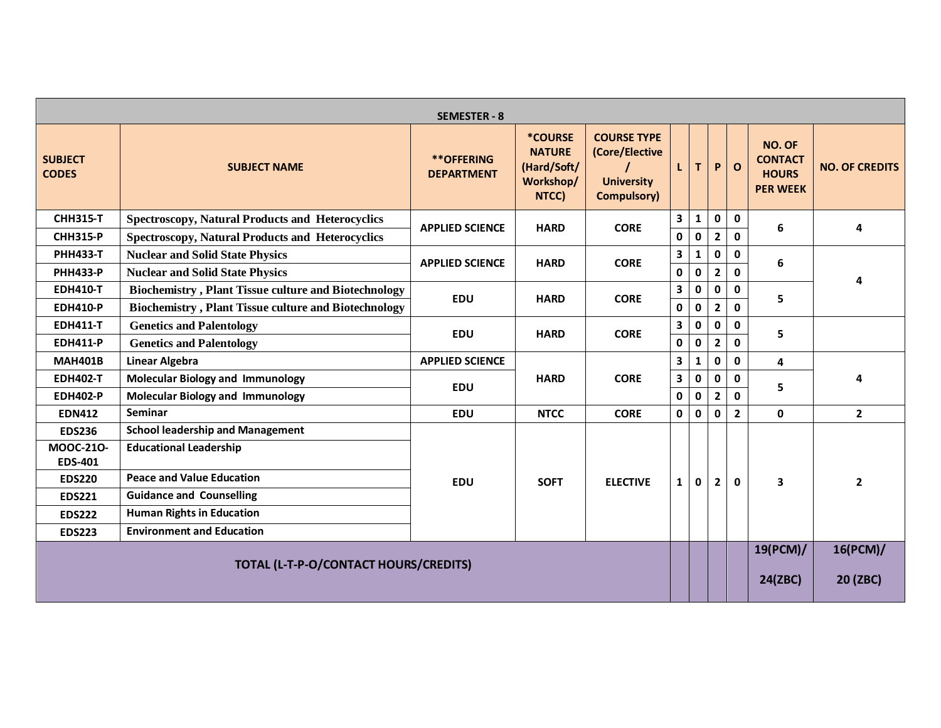|                                |                                                             | <b>SEMESTER - 8</b>                    |                                                                      |                                                                          |                         |              |                |                |                                                             |                       |
|--------------------------------|-------------------------------------------------------------|----------------------------------------|----------------------------------------------------------------------|--------------------------------------------------------------------------|-------------------------|--------------|----------------|----------------|-------------------------------------------------------------|-----------------------|
| <b>SUBJECT</b><br><b>CODES</b> | <b>SUBJECT NAME</b>                                         | <b>**OFFERING</b><br><b>DEPARTMENT</b> | <b>*COURSE</b><br><b>NATURE</b><br>(Hard/Soft/<br>Workshop/<br>NTCC) | <b>COURSE TYPE</b><br>(Core/Elective<br><b>University</b><br>Compulsory) | L                       | T            | P              | $\mathbf{o}$   | NO. OF<br><b>CONTACT</b><br><b>HOURS</b><br><b>PER WEEK</b> | <b>NO. OF CREDITS</b> |
| <b>CHH315-T</b>                | <b>Spectroscopy, Natural Products and Heterocyclics</b>     | <b>APPLIED SCIENCE</b>                 | <b>HARD</b>                                                          | <b>CORE</b>                                                              | 3                       | $\mathbf{1}$ | 0              | $\mathbf 0$    | 6                                                           | 4                     |
| <b>CHH315-P</b>                | <b>Spectroscopy, Natural Products and Heterocyclics</b>     |                                        |                                                                      |                                                                          | $\mathbf 0$             | $\mathbf{0}$ | $\overline{2}$ | $\mathbf{0}$   |                                                             |                       |
| <b>PHH433-T</b>                | <b>Nuclear and Solid State Physics</b>                      | <b>APPLIED SCIENCE</b>                 | <b>HARD</b>                                                          | <b>CORE</b>                                                              | $\overline{\mathbf{3}}$ | $\mathbf{1}$ | 0              | $\mathbf{0}$   | 6                                                           |                       |
| <b>PHH433-P</b>                | <b>Nuclear and Solid State Physics</b>                      |                                        |                                                                      |                                                                          | $\mathbf 0$             | $\mathbf{0}$ | $\overline{2}$ | $\mathbf{0}$   |                                                             | 4                     |
| <b>EDH410-T</b>                | <b>Biochemistry, Plant Tissue culture and Biotechnology</b> | <b>EDU</b>                             | <b>HARD</b>                                                          | <b>CORE</b>                                                              | $\mathbf{3}$            | $\pmb{0}$    | $\mathbf{0}$   | $\mathbf 0$    | 5                                                           |                       |
| <b>EDH410-P</b>                | <b>Biochemistry, Plant Tissue culture and Biotechnology</b> |                                        |                                                                      |                                                                          | $\mathbf 0$             | 0            | $\mathbf{2}$   | $\mathbf 0$    |                                                             |                       |
| <b>EDH411-T</b>                | <b>Genetics and Palentology</b>                             | <b>EDU</b>                             | <b>HARD</b>                                                          | <b>CORE</b>                                                              | $\overline{\mathbf{3}}$ | 0            | <sup>0</sup>   | $\mathbf 0$    | 5                                                           |                       |
| <b>EDH411-P</b>                | <b>Genetics and Palentology</b>                             |                                        |                                                                      |                                                                          | $\mathbf 0$             | $\pmb{0}$    | $\mathbf{2}$   | $\mathbf 0$    |                                                             |                       |
| <b>MAH401B</b>                 | <b>Linear Algebra</b>                                       | <b>APPLIED SCIENCE</b>                 |                                                                      |                                                                          | 3                       | $\mathbf{1}$ | 0              | $\mathbf 0$    | 4                                                           |                       |
| <b>EDH402-T</b>                | <b>Molecular Biology and Immunology</b>                     | <b>EDU</b>                             | <b>HARD</b>                                                          | <b>CORE</b>                                                              | $\overline{\mathbf{3}}$ | $\pmb{0}$    | $\mathbf{0}$   | $\mathbf 0$    | 5                                                           | 4                     |
| <b>EDH402-P</b>                | <b>Molecular Biology and Immunology</b>                     |                                        |                                                                      |                                                                          | $\mathbf 0$             | 0            | $\overline{2}$ | $\mathbf 0$    |                                                             |                       |
| <b>EDN412</b>                  | Seminar                                                     | <b>EDU</b>                             | <b>NTCC</b>                                                          | <b>CORE</b>                                                              | $\mathbf 0$             | $\mathbf{0}$ | $\mathbf{0}$   | $\overline{2}$ | 0                                                           | $\overline{2}$        |
| <b>EDS236</b>                  | <b>School leadership and Management</b>                     |                                        |                                                                      |                                                                          |                         |              |                |                |                                                             |                       |
| MOOC-210-                      | <b>Educational Leadership</b>                               |                                        |                                                                      |                                                                          |                         |              |                |                |                                                             |                       |
| <b>EDS-401</b>                 |                                                             |                                        |                                                                      |                                                                          |                         |              |                |                |                                                             |                       |
| <b>EDS220</b>                  | <b>Peace and Value Education</b>                            | <b>EDU</b>                             | <b>SOFT</b>                                                          | <b>ELECTIVE</b>                                                          | $\mathbf{1}$            | 0            | $\overline{2}$ | $\mathbf{0}$   | 3                                                           | $\overline{2}$        |
| <b>EDS221</b>                  | <b>Guidance and Counselling</b>                             |                                        |                                                                      |                                                                          |                         |              |                |                |                                                             |                       |
| <b>EDS222</b>                  | <b>Human Rights in Education</b>                            |                                        |                                                                      |                                                                          |                         |              |                |                |                                                             |                       |
| <b>EDS223</b>                  | <b>Environment and Education</b>                            |                                        |                                                                      |                                                                          |                         |              |                |                |                                                             |                       |
|                                | TOTAL (L-T-P-O/CONTACT HOURS/CREDITS)                       |                                        |                                                                      |                                                                          |                         |              |                |                | 19(PCM)/<br>24(ZBC)                                         | 16(PCM)/<br>20 (ZBC)  |